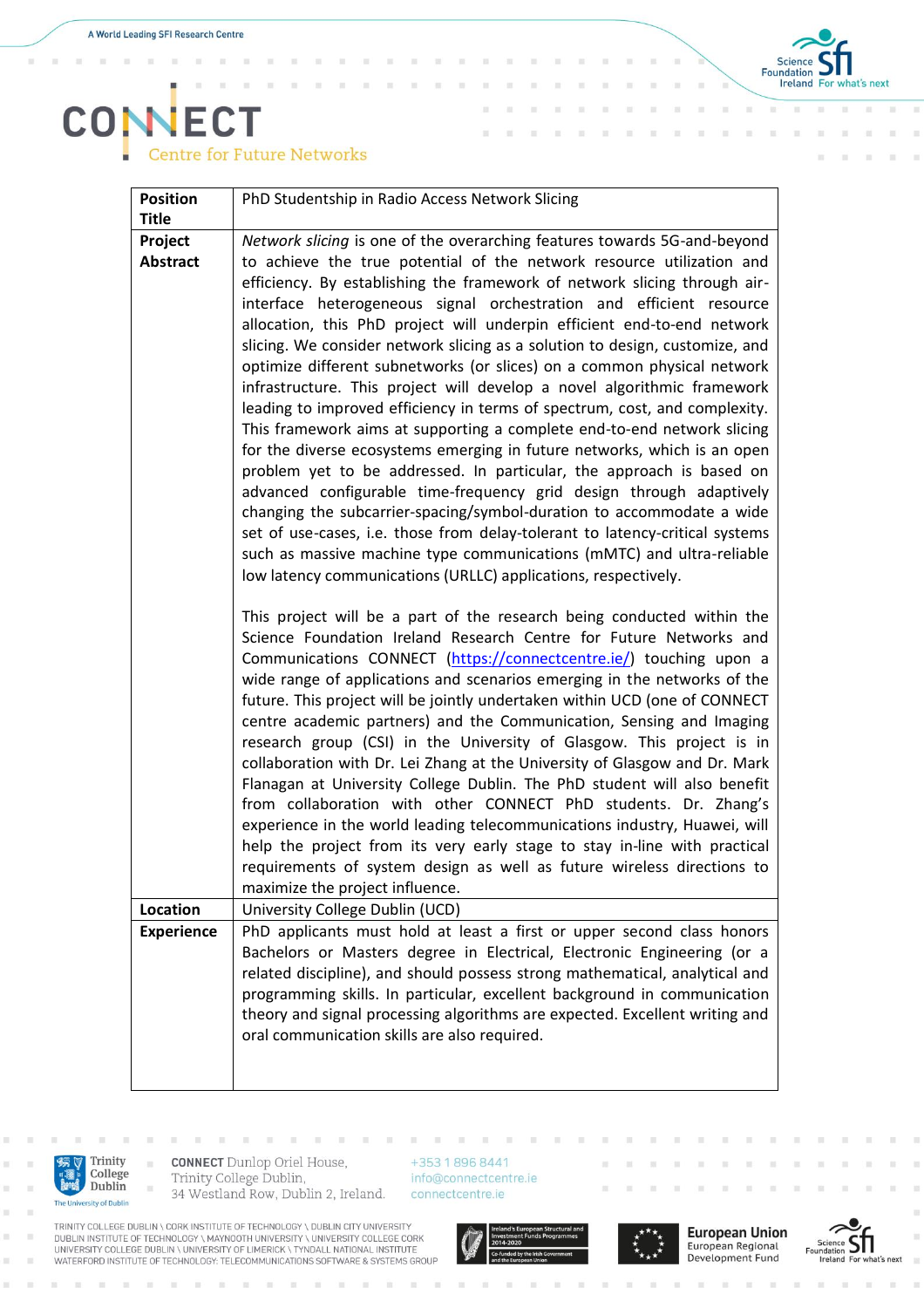$\overline{\mathbb{R}}$  $\bar{\alpha}$  $\bar{a}$ 

 $\bar{z}$ 



## **CONECT** Centre for Future Networks

 $\overline{\mathbf{u}}$ 

| <b>Position</b>   | PhD Studentship in Radio Access Network Slicing                                                                                                                                                                                                                                                                                                                                                                                                                                                                                                                                                                                                                                                                                                                                                                                                                                                                                                                                                                                                                                                                                                                                                                                    |
|-------------------|------------------------------------------------------------------------------------------------------------------------------------------------------------------------------------------------------------------------------------------------------------------------------------------------------------------------------------------------------------------------------------------------------------------------------------------------------------------------------------------------------------------------------------------------------------------------------------------------------------------------------------------------------------------------------------------------------------------------------------------------------------------------------------------------------------------------------------------------------------------------------------------------------------------------------------------------------------------------------------------------------------------------------------------------------------------------------------------------------------------------------------------------------------------------------------------------------------------------------------|
| <b>Title</b>      |                                                                                                                                                                                                                                                                                                                                                                                                                                                                                                                                                                                                                                                                                                                                                                                                                                                                                                                                                                                                                                                                                                                                                                                                                                    |
| Project           | Network slicing is one of the overarching features towards 5G-and-beyond                                                                                                                                                                                                                                                                                                                                                                                                                                                                                                                                                                                                                                                                                                                                                                                                                                                                                                                                                                                                                                                                                                                                                           |
| <b>Abstract</b>   | to achieve the true potential of the network resource utilization and<br>efficiency. By establishing the framework of network slicing through air-<br>interface heterogeneous signal orchestration and efficient resource<br>allocation, this PhD project will underpin efficient end-to-end network<br>slicing. We consider network slicing as a solution to design, customize, and<br>optimize different subnetworks (or slices) on a common physical network<br>infrastructure. This project will develop a novel algorithmic framework<br>leading to improved efficiency in terms of spectrum, cost, and complexity.<br>This framework aims at supporting a complete end-to-end network slicing<br>for the diverse ecosystems emerging in future networks, which is an open<br>problem yet to be addressed. In particular, the approach is based on<br>advanced configurable time-frequency grid design through adaptively<br>changing the subcarrier-spacing/symbol-duration to accommodate a wide<br>set of use-cases, i.e. those from delay-tolerant to latency-critical systems<br>such as massive machine type communications (mMTC) and ultra-reliable<br>low latency communications (URLLC) applications, respectively. |
|                   | This project will be a part of the research being conducted within the<br>Science Foundation Ireland Research Centre for Future Networks and<br>Communications CONNECT (https://connectcentre.ie/) touching upon a<br>wide range of applications and scenarios emerging in the networks of the<br>future. This project will be jointly undertaken within UCD (one of CONNECT<br>centre academic partners) and the Communication, Sensing and Imaging<br>research group (CSI) in the University of Glasgow. This project is in<br>collaboration with Dr. Lei Zhang at the University of Glasgow and Dr. Mark<br>Flanagan at University College Dublin. The PhD student will also benefit<br>from collaboration with other CONNECT PhD students. Dr. Zhang's<br>experience in the world leading telecommunications industry, Huawei, will<br>help the project from its very early stage to stay in-line with practical<br>requirements of system design as well as future wireless directions to<br>maximize the project influence.                                                                                                                                                                                                  |
| Location          | University College Dublin (UCD)                                                                                                                                                                                                                                                                                                                                                                                                                                                                                                                                                                                                                                                                                                                                                                                                                                                                                                                                                                                                                                                                                                                                                                                                    |
| <b>Experience</b> | PhD applicants must hold at least a first or upper second class honors<br>Bachelors or Masters degree in Electrical, Electronic Engineering (or a<br>related discipline), and should possess strong mathematical, analytical and<br>programming skills. In particular, excellent background in communication<br>theory and signal processing algorithms are expected. Excellent writing and<br>oral communication skills are also required.                                                                                                                                                                                                                                                                                                                                                                                                                                                                                                                                                                                                                                                                                                                                                                                        |



 $\mathbf{r}$ 

**CONNECT** Dunlop Oriel House, Trinity College Dublin, 34 Westland Row, Dublin 2, Ireland.

**III III** 

> +353 1 896 8441 info@connectcentre.ie connectcentre.ie

TRINITY COLLEGE DUBLIN \ CORK INSTITUTE OF TECHNOLOGY \ DUBLIN CITY UNIVERSITY<br>DUBLIN INSTITUTE OF TECHNOLOGY \ MAYNOOTH UNIVERSITY \ UNIVERSITY COLLEGE CORK<br>UNIVERSITY COLLEGE DUBLIN \ UNIVERSITY OF LIMERICK \ TYNDALL NAT